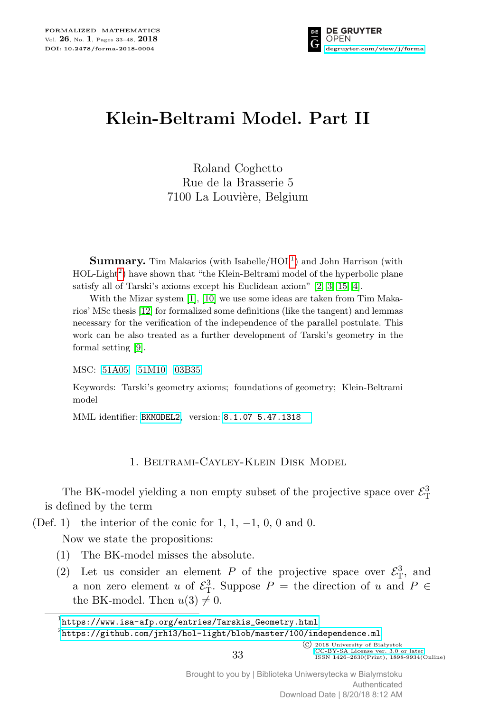

# **Klein-Beltrami Model. Part II**

Roland Coghetto Rue de la Brasserie 5 7100 La Louvière, Belgium

**Summary.** Tim Makarios (with Isabelle/HOL<sup>[1](#page-0-0)</sup>) and John Harrison (with HOL-Light<sup>[2](#page-0-1)</sup>) have shown that "the Klein-Beltrami model of the hyperbolic plane satisfy all of Tarski's axioms except his Euclidean axiom" [\[2,](#page-14-0) [3,](#page-15-0) [15,](#page-15-1) [4\]](#page-15-2).

With the Mizar system [\[1\]](#page-14-1), [\[10\]](#page-15-3) we use some ideas are taken from Tim Makarios' MSc thesis [\[12\]](#page-15-4) for formalized some definitions (like the tangent) and lemmas necessary for the verification of the independence of the parallel postulate. This work can be also treated as a further development of Tarski's geometry in the formal setting [\[9\]](#page-15-5).

MSC: [51A05](http://zbmath.org/classification/?q=cc:51A05) [51M10](http://zbmath.org/classification/?q=cc:51M10) [03B35](http://zbmath.org/classification/?q=cc:03B35)

Keywords: Tarski's geometry axioms; foundations of geometry; Klein-Beltrami model

MML identifier: [BKMODEL2](http://fm.mizar.org/miz/bkmodel2.miz), version: [8.1.07 5.47.1318](http://ftp.mizar.org/)

## 1. Beltrami-Cayley-Klein Disk Model

The BK-model yielding a non empty subset of the projective space over  $\mathcal{E}_{\textrm{T}}^3$ is defined by the term

(Def. 1) the interior of the conic for 1, 1, *−*1, 0, 0 and 0.

Now we state the propositions:

- (1) The BK-model misses the absolute.
- (2) Let us consider an element *P* of the projective space over  $\mathcal{E}_{\rm T}^3$ , and a non zero element *u* of  $\mathcal{E}_{\rm T}^3$ . Suppose  $P =$  the direction of *u* and  $P \in$ the BK-model. Then  $u(3) \neq 0$ .

<span id="page-0-0"></span> $^1$ [https://www.isa-afp.org/entries/Tarskis\\_Geometry.html](https://www.isa-afp.org/entries/Tarskis_Geometry.html)

<span id="page-0-1"></span> $^{2}$ <https://github.com/jrh13/hol-light/blob/master/100/independence.ml>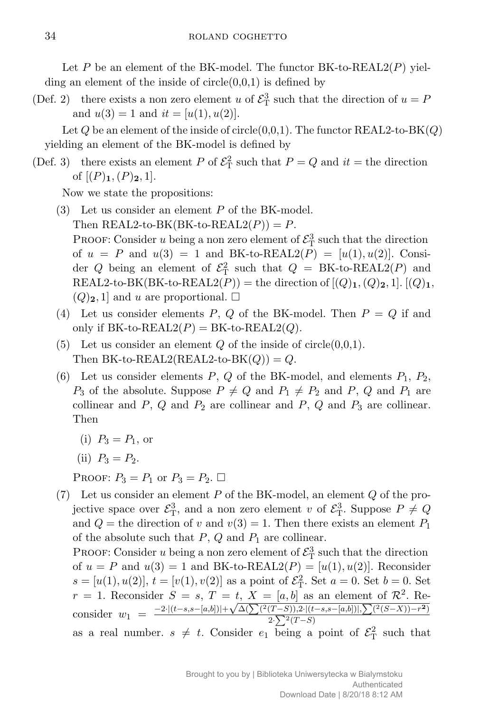Let  $P$  be an element of the BK-model. The functor BK-to-REAL2( $P$ ) yielding an element of the inside of  $circle(0,0,1)$  is defined by

(Def. 2) there exists a non zero element *u* of  $\mathcal{E}_{\rm T}^3$  such that the direction of  $u = P$ and  $u(3) = 1$  and  $it = [u(1), u(2)].$ 

Let *Q* be an element of the inside of circle(0,0,1). The functor REAL2-to-BK(*Q*) yielding an element of the BK-model is defined by

(Def. 3) there exists an element *P* of  $\mathcal{E}_{\rm T}^2$  such that  $P = Q$  and  $it =$  the direction of  $[(P)_1, (P)_2, 1]$ .

Now we state the propositions:

- (3) Let us consider an element *P* of the BK-model. Then  $REAL2$ -to-BK(BK-to-REAL2( $P$ )) =  $P$ . PROOF: Consider *u* being a non zero element of  $\mathcal{E}_{\mathrm{T}}^3$  such that the direction of  $u = P$  and  $u(3) = 1$  and BK-to-REAL2( $P$ ) = [ $u(1), u(2)$ ]. Consider *Q* being an element of  $\mathcal{E}_{\rm T}^2$  such that  $Q = {\rm BK}$ -to-REAL2(*P*) and REAL2-to-BK(BK-to-REAL2(P)) = the direction of  $[(Q)_1, (Q)_2, 1]$ .  $[(Q)_1,$  $(Q)_{2}$ , 1 and *u* are proportional.  $\square$
- (4) Let us consider elements  $P$ ,  $Q$  of the BK-model. Then  $P = Q$  if and only if  $BK$ -to- $REAL2(P) = BK$ -to- $REAL2(Q)$ .
- (5) Let us consider an element  $Q$  of the inside of circle $(0,0,1)$ . Then BK-to-REAL2(REAL2-to-BK $(Q)$ ) =  $Q$ .
- (6) Let us consider elements  $P$ ,  $Q$  of the BK-model, and elements  $P_1$ ,  $P_2$ , *P*<sub>3</sub> of the absolute. Suppose  $P \neq Q$  and  $P_1 \neq P_2$  and  $P$ ,  $Q$  and  $P_1$  are collinear and  $P$ ,  $Q$  and  $P_2$  are collinear and  $P$ ,  $Q$  and  $P_3$  are collinear. Then
	- (i)  $P_3 = P_1$ , or
	- (ii)  $P_3 = P_2$ .

PROOF:  $P_3 = P_1$  or  $P_3 = P_2$ .

(7) Let us consider an element *P* of the BK-model, an element *Q* of the projective space over  $\mathcal{E}_{\rm T}^3$ , and a non zero element *v* of  $\mathcal{E}_{\rm T}^3$ . Suppose  $P \neq Q$ and  $Q =$  the direction of *v* and  $v(3) = 1$ . Then there exists an element  $P_1$ of the absolute such that  $P$ ,  $Q$  and  $P_1$  are collinear. PROOF: Consider *u* being a non zero element of  $\mathcal{E}_{\textrm{T}}^3$  such that the direction of  $u = P$  and  $u(3) = 1$  and BK-to-REAL2( $P$ ) = [ $u(1), u(2)$ ]. Reconsider  $s = [u(1), u(2)], t = [v(1), v(2)]$  as a point of  $\mathcal{E}_{\rm T}^2$ . Set  $a = 0$ . Set  $b = 0$ . Set  $r = 1$ . Reconsider  $S = s$ ,  $T = t$ ,  $X = [a, b]$  as an element of  $\mathcal{R}^2$ . Re $r = 1$ . Reconsider  $S = s$ ,  $I = t$ ,  $\Lambda = [a, b]$  as an element of  $\mathcal{R}$ . Reconsider  $w_1 = \frac{-2 \cdot [(t-s, s-[a,b])] + \sqrt{\Delta(\sum (2(T-S)), 2 \cdot [(t-s, s-[a,b])], \sum (2(S-X)) - r^2)}}{2 \cdot \sum (2(T-S))}$  $2 \cdot \sum (T - S)$ as a real number.  $s \neq t$ . Consider  $e_1$  being a point of  $\mathcal{E}_{\rm T}^2$  such that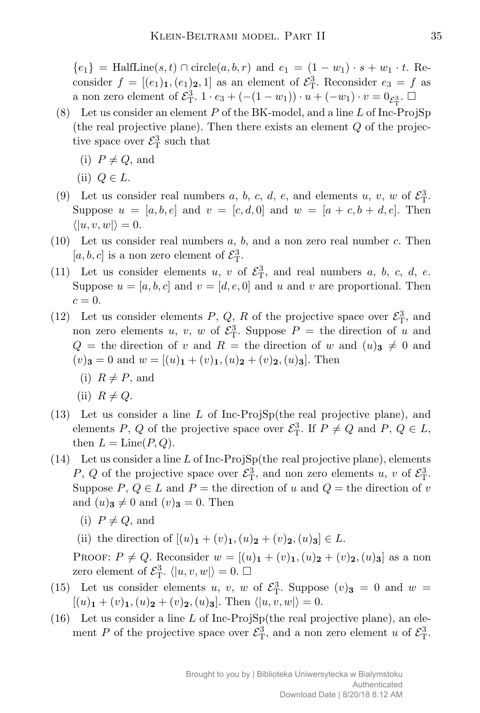*{* $e_1$ } = HalfLine(*s, t*) ∩ circle(*a, b, r*) and  $e_1 = (1 - w_1) \cdot s + w_1 \cdot t$ . Reconsider  $f = [(e_1)_1, (e_1)_2, 1]$  as an element of  $\mathcal{E}_{\rm T}^3$ . Reconsider  $e_3 = f$  as a non zero element of  $\mathcal{E}_{\rm T}^3$ . 1 ·  $e_3 + (-(1-w_1)) \cdot u + (-w_1) \cdot v = 0_{\mathcal{E}_{\rm T}^3}$ .  $\square$ 

- (8) Let us consider an element *P* of the BK-model, and a line *L* of Inc-ProjSp (the real projective plane). Then there exists an element *Q* of the projective space over  $\mathcal{E}_{\mathrm{T}}^3$  such that
	- $(i)$   $P \neq Q$ , and
	- (ii)  $Q \in L$ .
- (9) Let us consider real numbers *a*, *b*, *c*, *d*, *e*, and elements *u*, *v*, *w* of  $\mathcal{E}_{T}^{3}$ . Suppose  $u = [a, b, e]$  and  $v = [c, d, 0]$  and  $w = [a + c, b + d, e]$ . Then  $\langle |u, v, w| \rangle = 0.$
- (10) Let us consider real numbers *a*, *b*, and a non zero real number *c*. Then  $[a, b, c]$  is a non zero element of  $\mathcal{E}_{\mathrm{T}}^3$ .
- (11) Let us consider elements  $u, v$  of  $\mathcal{E}_{\rm T}^3$ , and real numbers  $a, b, c, d, e$ . Suppose  $u = [a, b, c]$  and  $v = [d, e, 0]$  and  $u$  and  $v$  are proportional. Then  $c=0.$
- (12) Let us consider elements  $P$ ,  $Q$ ,  $R$  of the projective space over  $\mathcal{E}_{\rm T}^3$ , and non zero elements *u*, *v*, *w* of  $\mathcal{E}_{T}^{3}$ . Suppose  $P =$  the direction of *u* and  $Q =$  the direction of *v* and  $R =$  the direction of *w* and  $(u)$ **3**  $\neq$  0 and  $(v)$ **3** = 0 and  $w = [(u)$ **1** +  $(v)$ **1***,* $(u)$ **2** +  $(v)$ **2***,* $(u)$ **3***.* Then
	- (i)  $R \neq P$ , and
	- $(iii)$   $R \neq Q$ .
- (13) Let us consider a line *L* of Inc-ProjSp(the real projective plane), and elements *P*, *Q* of the projective space over  $\mathcal{E}_{\rm T}^3$ . If  $P \neq Q$  and *P*,  $Q \in L$ , then  $L = \text{Line}(P, Q)$ .
- (14) Let us consider a line *L* of Inc-ProjSp(the real projective plane), elements *P*, *Q* of the projective space over  $\mathcal{E}_{\rm T}^3$ , and non zero elements *u*, *v* of  $\mathcal{E}_{\rm T}^3$ . Suppose  $P, Q \in L$  and  $P =$  the direction of  $u$  and  $Q =$  the direction of  $v$ and  $(u)$ **3**  $\neq$  0 and  $(v)$ **3** = 0. Then
	- $(i)$   $P \neq Q$ , and
	- (ii) the direction of  $[(u)_1 + (v)_1, (u)_2 + (v)_2, (u)_3] \in L$ .

PROOF:  $P \neq Q$ . Reconsider  $w = [(u)_1 + (v)_1, (u)_2 + (v)_2, (u)_3]$  as a non zero element of  $\mathcal{E}_{\mathcal{T}}^3$ .  $\langle |u, v, w| \rangle = 0$ .  $\Box$ 

- (15) Let us consider elements *u*, *v*, *w* of  $\mathcal{E}_{\rm T}^3$ . Suppose  $(v)_{\rm 3} = 0$  and  $w =$  $[(u)_1 + (v)_1, (u)_2 + (v)_2, (u)_3]$ . Then  $\langle |u, v, w| \rangle = 0$ .
- (16) Let us consider a line *L* of Inc-ProjSp(the real projective plane), an element *P* of the projective space over  $\mathcal{E}_{\rm T}^3$ , and a non zero element *u* of  $\mathcal{E}_{\rm T}^3$ .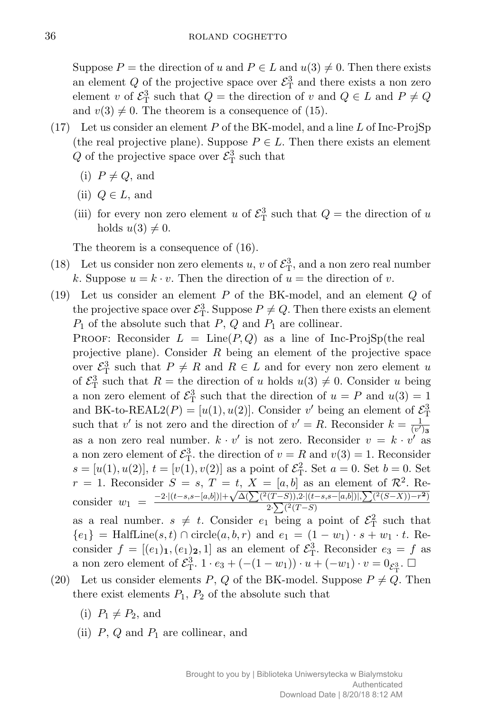Suppose  $P =$  the direction of *u* and  $P \in L$  and  $u(3) \neq 0$ . Then there exists an element  $Q$  of the projective space over  $\mathcal{E}^3_T$  and there exists a non zero element *v* of  $\mathcal{E}_{\mathrm{T}}^3$  such that  $Q =$  the direction of *v* and  $Q \in L$  and  $P \neq Q$ and  $v(3) \neq 0$ . The theorem is a consequence of (15).

- (17) Let us consider an element *P* of the BK-model, and a line *L* of Inc-ProjSp (the real projective plane). Suppose  $P \in L$ . Then there exists an element  $Q$  of the projective space over  $\mathcal{E}^3$  such that
	- $(i)$   $P \neq Q$ , and
	- (ii)  $Q \in L$ , and
	- (iii) for every non zero element *u* of  $\mathcal{E}_{\mathrm{T}}^3$  such that  $Q =$  the direction of *u* holds  $u(3) \neq 0$ .

The theorem is a consequence of (16).

- (18) Let us consider non zero elements *u*, *v* of  $\mathcal{E}_{\rm T}^3$ , and a non zero real number *k*. Suppose  $u = k \cdot v$ . Then the direction of  $u =$  the direction of *v*.
- (19) Let us consider an element *P* of the BK-model, and an element *Q* of the projective space over  $\mathcal{E}_{\mathrm{T}}^3$ . Suppose  $P \neq Q$ . Then there exists an element  $P_1$  of the absolute such that  $P$ ,  $Q$  and  $P_1$  are collinear.

**PROOF:** Reconsider  $L = \text{Line}(P,Q)$  as a line of Inc-ProjSp(the real projective plane). Consider *R* being an element of the projective space over  $\mathcal{E}_{\mathrm{T}}^3$  such that  $P \neq R$  and  $R \in L$  and for every non zero element *u* of  $\mathcal{E}_{\mathrm{T}}^3$  such that  $R =$  the direction of *u* holds  $u(3) \neq 0$ . Consider *u* being a non zero element of  $\mathcal{E}_{\rm T}^3$  such that the direction of  $u = P$  and  $u(3) = 1$ and BK-to-REAL2( $P$ ) = [ $u(1), u(2)$ ]. Consider  $v'$  being an element of  $\mathcal{E}_{\rm T}^3$ such that *v'* is not zero and the direction of  $v' = R$ . Reconsider  $k = \frac{1}{\sqrt{n'}}$  $\overline{(v')_3}$ as a non zero real number.  $k \cdot v'$  is not zero. Reconsider  $v = k \cdot v'$  as a non zero element of  $\mathcal{E}_{\mathcal{T}}^3$ , the direction of  $v = R$  and  $v(3) = 1$ . Reconsider  $s = [u(1), u(2)], t = [v(1), v(2)]$  as a point of  $\mathcal{E}_{\rm T}^2$ . Set  $a = 0$ . Set  $b = 0$ . Set  $r = 1$ . Reconsider  $S = s$ ,  $T = t$ ,  $X = [a, b]$  as an element of  $\mathcal{R}^2$ . Re $r = 1$ . Reconsider  $S = s$ ,  $I = t$ ,  $A = [a, b]$  as an element of  $\mathcal{R}$ . Reconsider  $w_1 = \frac{-2 \cdot [(t-s, s-[a,b])] + \sqrt{\Delta(\sum (2(T-S)), 2 \cdot [(t-s, s-[a,b])], \sum (2(S-X)) - r^2)}}{2 \cdot \sum (2(T-S))}$  $2 \cdot \sum (2(T-S))$ as a real number.  $s \neq t$ . Consider  $e_1$  being a point of  $\mathcal{E}_{\rm T}^2$  such that

*{* $e_1$ } = HalfLine(*s, t*) ∩ circle(*a, b, r*) and  $e_1 = (1 - w_1) \cdot s + w_1 \cdot t$ . Reconsider  $f = [(e_1)_1, (e_1)_2, 1]$  as an element of  $\mathcal{E}_T^3$ . Reconsider  $e_3 = f$  as a non zero element of  $\mathcal{E}_{\rm T}^3$ . 1 ·  $e_3 + (-(1-w_1)) \cdot u + (-w_1) \cdot v = 0_{\mathcal{E}_{\rm T}^3}$ .  $\square$ 

- (20) Let us consider elements *P*, *Q* of the BK-model. Suppose  $P \neq Q$ . Then there exist elements  $P_1$ ,  $P_2$  of the absolute such that
	- $(i)$   $P_1 \neq P_2$ , and
	- (ii) *P*, *Q* and *P*<sup>1</sup> are collinear, and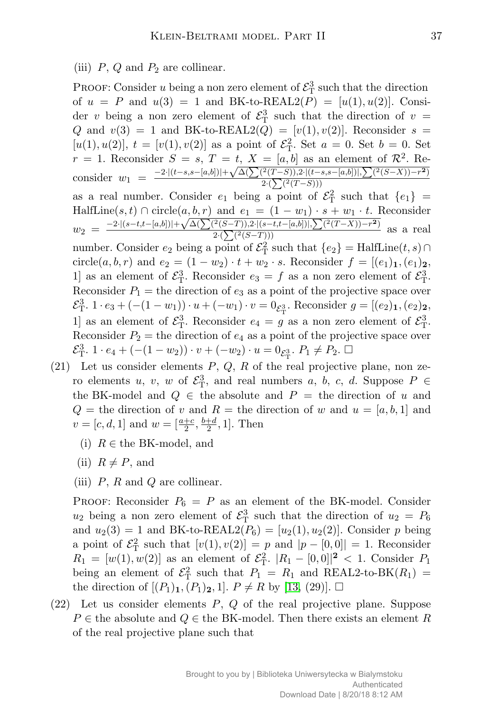(iii)  $P$ ,  $Q$  and  $P_2$  are collinear.

PROOF: Consider *u* being a non zero element of  $\mathcal{E}_{\mathrm{T}}^3$  such that the direction of  $u = P$  and  $u(3) = 1$  and BK-to-REAL2(P) = [ $u(1), u(2)$ ]. Consider *v* being a non zero element of  $\mathcal{E}_{\rm T}^3$  such that the direction of  $v =$ *Q* and  $v(3) = 1$  and BK-to-REAL2(*Q*) =  $[v(1), v(2)]$ . Reconsider  $s =$  $[u(1), u(2)], t = [v(1), v(2)]$  as a point of  $\mathcal{E}_{\text{T}}^2$ . Set  $a = 0$ . Set  $b = 0$ . Set  $r = 1$ . Reconsider  $S = s$ ,  $T = t$ ,  $X = [a, b]$  as an element of  $\mathcal{R}^2$ . Re $r = 1$ . Reconsider  $S = s$ ,  $I = t$ ,  $A = [a, b]$  as an element of  $\mathcal{R}$ . Reconsider  $w_1 = \frac{-2 \cdot [(t-s, s-[a,b])] + \sqrt{\Delta(\sum (2(T-S)), 2 \cdot [(t-s, s-[a,b])], \sum (2(S-X)) - r^2)}}{2 \cdot (\sum (2(T-S)))}$  $2 \cdot (\sum (2(T-S)))$ as a real number. Consider  $e_1$  being a point of  $\mathcal{E}_T^2$  such that  $\{e_1\}$  =  $H\text{alfLine}(s, t) \cap \text{circle}(a, b, r) \text{ and } e_1 = (1 - w_1) \cdot s + w_1 \cdot t.$  Reconsider  $w_2 = \frac{-2 \cdot |(s-t,t-[a,b])| + \sqrt{\Delta(\sum (2(S-T)),2 \cdot |(s-t,t-[a,b])|,\sum (2(T-X))-r^2)}}{2 \cdot (\sum (2(S-T)))}$ *<u><sup>*</sup><sup>*(*S−*I*)),2<sup>*·*</sup><sub>*l*</sub>(s−*i*,*e*<sup>*-*</sup><sub>*l*</sub>*a*,*o*<sub>1</sub>),<sub>1</sub></sup>,  $\angle$ <sub>*l*</sub> (*i* −*x*))<sup>-1</sup>)</del> as a real  $\frac{2 \cdot (\sum (2(S-T)))}{\sum (2(S-T))}$ </u> number. Consider  $e_2$  being a point of  $\mathcal{E}_{\mathrm{T}}^2$  such that  $\{e_2\} = \text{HalfLine}(t, s) \cap$ circle(*a, b, r*) and  $e_2 = (1 - w_2) \cdot t + w_2 \cdot s$ . Reconsider  $f = [(e_1)_1, (e_1)_2,$ 1] as an element of  $\mathcal{E}_{\rm T}^3$ . Reconsider  $e_3 = f$  as a non zero element of  $\mathcal{E}_{\rm T}^3$ . Reconsider  $P_1$  = the direction of  $e_3$  as a point of the projective space over  $\mathcal{E}_{\rm T}^3$ .  $1 \cdot e_3 + (- (1 - w_1)) \cdot u + (-w_1) \cdot v = 0_{\mathcal{E}_{\rm T}^3}$ . Reconsider  $g = [(e_2)_1, (e_2)_2,$ 1] as an element of  $\mathcal{E}_{\rm T}^3$ . Reconsider  $e_4 = g$  as a non zero element of  $\mathcal{E}_{\rm T}^3$ . Reconsider  $P_2$  = the direction of  $e_4$  as a point of the projective space over  $\mathcal{E}_{\rm T}^3$ . 1 ·  $e_4 + (-(1-w_2)) \cdot v + (-w_2) \cdot u = 0_{\mathcal{E}_{\rm T}^3}$ .  $P_1 \neq P_2$ .  $\Box$ 

- (21) Let us consider elements *P*, *Q*, *R* of the real projective plane, non zero elements *u*, *v*, *w* of  $\mathcal{E}_{\rm T}^3$ , and real numbers *a*, *b*, *c*, *d*. Suppose  $P \in$ the BK-model and  $Q \in$  the absolute and  $P =$  the direction of *u* and  $Q =$  the direction of *v* and  $R =$  the direction of *w* and  $u = [a, b, 1]$  and  $v = [c, d, 1]$  and  $w = \left[\frac{a+c}{2}, \frac{b+d}{2}\right]$  $\frac{+d}{2}$ , 1]. Then
	- (i)  $R \in \text{the BK-model}$ , and
	- (ii)  $R \neq P$ , and
	- (iii) *P*, *R* and *Q* are collinear.

PROOF: Reconsider  $P_6 = P$  as an element of the BK-model. Consider  $u_2$  being a non zero element of  $\mathcal{E}_{\rm T}^3$  such that the direction of  $u_2 = P_6$ and  $u_2(3) = 1$  and BK-to-REAL2( $P_6$ ) = [ $u_2(1), u_2(2)$ ]. Consider *p* being a point of  $\mathcal{E}_{\rm T}^2$  such that  $[v(1), v(2)] = p$  and  $|p - [0, 0]| = 1$ . Reconsider  $R_1 = [w(1), w(2)]$  as an element of  $\mathcal{E}_{\rm T}^2$ .  $|R_1 - [0,0]|^2 < 1$ . Consider  $P_1$ being an element of  $\mathcal{E}_{\rm T}^2$  such that  $P_1 = R_1$  and REAL2-to-BK( $R_1$ ) = the direction of  $[(P_1)_1, (P_1)_2, 1]$ .  $P \neq R$  by [\[13,](#page-15-6) (29)].  $\Box$ 

(22) Let us consider elements *P*, *Q* of the real projective plane. Suppose  $P \in$  the absolute and  $Q \in$  the BK-model. Then there exists an element *R* of the real projective plane such that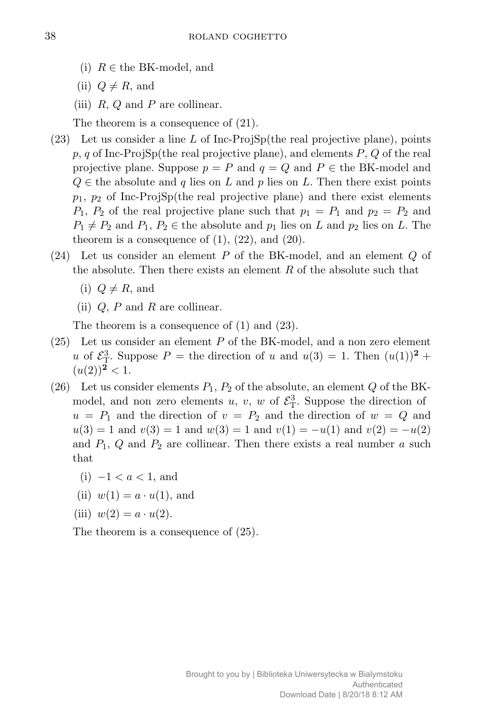- (i)  $R \in \text{the BK-model}$ , and
- (ii)  $Q \neq R$ , and
- (iii) *R*, *Q* and *P* are collinear.

The theorem is a consequence of (21).

- (23) Let us consider a line *L* of Inc-ProjSp(the real projective plane), points *p*, *q* of Inc-ProjSp(the real projective plane), and elements *P*, *Q* of the real projective plane. Suppose  $p = P$  and  $q = Q$  and  $P \in \text{the BK-model}$  and  $Q \in \mathcal{C}$  the absolute and *q* lies on *L* and *p* lies on *L*. Then there exist points *p*1, *p*<sup>2</sup> of Inc-ProjSp(the real projective plane) and there exist elements  $P_1$ ,  $P_2$  of the real projective plane such that  $p_1 = P_1$  and  $p_2 = P_2$  and  $P_1 \neq P_2$  and  $P_1, P_2 \in \text{the absolute and } p_1 \text{ lies on } L \text{ and } p_2 \text{ lies on } L.$  The theorem is a consequence of  $(1)$ ,  $(22)$ , and  $(20)$ .
- (24) Let us consider an element *P* of the BK-model, and an element *Q* of the absolute. Then there exists an element *R* of the absolute such that
	- $(i)$   $Q \neq R$ , and
	- (ii) *Q*, *P* and *R* are collinear.

The theorem is a consequence of (1) and (23).

- (25) Let us consider an element *P* of the BK-model, and a non zero element *u* of  $\mathcal{E}_{\rm T}^3$ . Suppose  $P =$  the direction of *u* and  $u(3) = 1$ . Then  $(u(1))^2 +$  $(u(2))^2 < 1.$
- (26) Let us consider elements  $P_1$ ,  $P_2$  of the absolute, an element  $Q$  of the BKmodel, and non zero elements  $u, v, w$  of  $\mathcal{E}_{\mathrm{T}}^3$ . Suppose the direction of  $u = P_1$  and the direction of  $v = P_2$  and the direction of  $w = Q$  and  $u(3) = 1$  and  $v(3) = 1$  and  $w(3) = 1$  and  $v(1) = -u(1)$  and  $v(2) = -u(2)$ and  $P_1$ ,  $Q$  and  $P_2$  are collinear. Then there exists a real number  $a$  such that
	- (i) *−*1 *< a <* 1, and
	- (ii)  $w(1) = a \cdot u(1)$ , and
	- (iii)  $w(2) = a \cdot u(2)$ .

The theorem is a consequence of (25).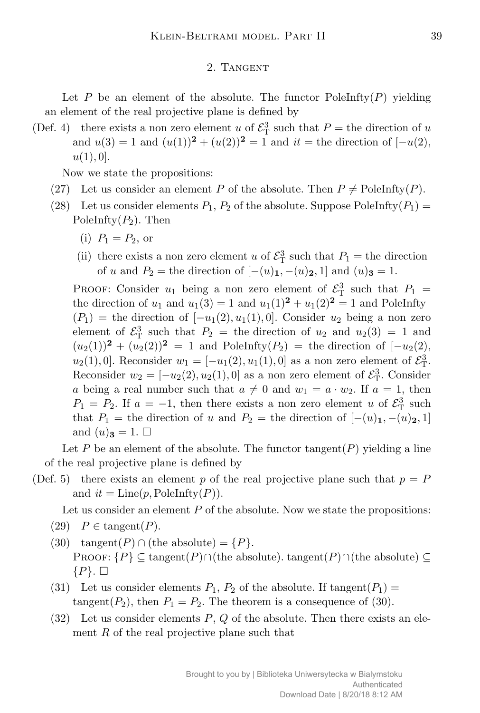#### 2. Tangent

Let  $P$  be an element of the absolute. The functor PoleInfty $(P)$  yielding an element of the real projective plane is defined by

(Def. 4) there exists a non zero element *u* of  $\mathcal{E}_{\rm T}^3$  such that  $P =$  the direction of *u* and  $u(3) = 1$  and  $(u(1))^2 + (u(2))^2 = 1$  and  $it =$  the direction of  $[-u(2)]$ ,  $u(1), 0$ .

Now we state the propositions:

- (27) Let us consider an element *P* of the absolute. Then  $P \neq$  PoleInfty(*P*).
- (28) Let us consider elements  $P_1$ ,  $P_2$  of the absolute. Suppose PoleInfty $(P_1)$  = PoleInfty(*P*2). Then
	- (i)  $P_1 = P_2$ , or
	- (ii) there exists a non zero element *u* of  $\mathcal{E}_{\mathrm{T}}^3$  such that  $P_1$  = the direction of *u* and  $P_2$  = the direction of  $[-(u)_1, -(u)_2, 1]$  and  $(u)_3 = 1$ .

PROOF: Consider  $u_1$  being a non zero element of  $\mathcal{E}^3$  such that  $P_1$  = the direction of  $u_1$  and  $u_1(3) = 1$  and  $u_1(1)^2 + u_1(2)^2 = 1$  and PoleInfty  $(P_1)$  = the direction of  $[-u_1(2), u_1(1), 0]$ . Consider  $u_2$  being a non zero element of  $\mathcal{E}_{\rm T}^3$  such that  $P_2$  = the direction of  $u_2$  and  $u_2(3) = 1$  and  $(u_2(1))^2 + (u_2(2))^2 = 1$  and PoleInfty( $P_2$ ) = the direction of [*−u*<sub>2</sub>(2)*, u*<sub>2</sub>(1)*,* 0]. Reconsider  $w_1 = [-u_1(2), u_1(1), 0]$  as a non zero element of  $\mathcal{E}_{T}^3$ . Reconsider  $w_2 = [-u_2(2), u_2(1), 0]$  as a non zero element of  $\mathcal{E}_{\rm T}^3$ . Consider *a* being a real number such that  $a \neq 0$  and  $w_1 = a \cdot w_2$ . If  $a = 1$ , then  $P_1 = P_2$ . If  $a = -1$ , then there exists a non zero element *u* of  $\mathcal{E}_{\rm T}^3$  such that  $P_1$  = the direction of *u* and  $P_2$  = the direction of  $[-(u)_1, -(u)_2, 1]$ and  $(u)_{3} = 1$ .  $\Box$ 

Let P be an element of the absolute. The functor tangent $(P)$  yielding a line of the real projective plane is defined by

(Def. 5) there exists an element p of the real projective plane such that  $p = P$ and  $it = Line(p, PoleInty(P)).$ 

Let us consider an element P of the absolute. Now we state the propositions:

- $(29)$  *P*  $\in$  tangent $(P)$ .
- (30)  $tangent(P) \cap (the absolute) = {P}.$ PROOF:  ${P}$   $\subseteq$  tangent $(P)$  $\ncap$ (the absolute). tangent $(P)$  $\ncap$ (the absolute)  $\subseteq$  $\{P\}$ .  $\square$
- (31) Let us consider elements  $P_1$ ,  $P_2$  of the absolute. If tangent( $P_1$ ) = tangent( $P_2$ ), then  $P_1 = P_2$ . The theorem is a consequence of (30).
- (32) Let us consider elements *P*, *Q* of the absolute. Then there exists an element *R* of the real projective plane such that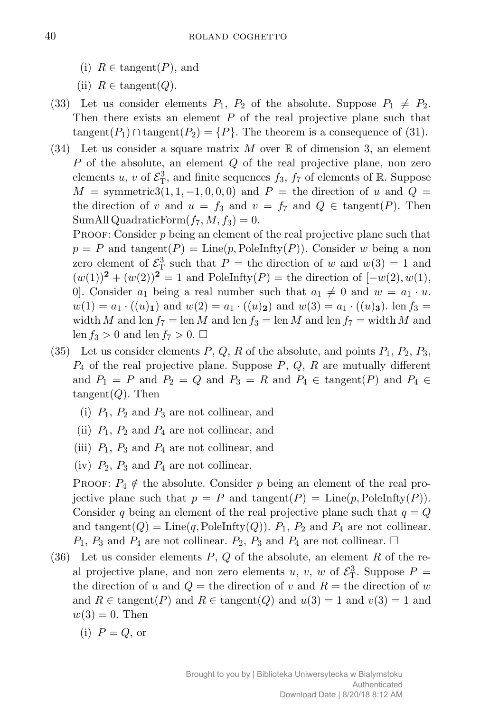- (i)  $R \in \text{tangent}(P)$ , and
- (ii)  $R \in \text{tangent}(Q)$ .
- (33) Let us consider elements  $P_1$ ,  $P_2$  of the absolute. Suppose  $P_1 \neq P_2$ . Then there exists an element *P* of the real projective plane such that tangent( $P_1$ )  $\cap$  tangent( $P_2$ ) = { $P$ }. The theorem is a consequence of (31).
- (34) Let us consider a square matrix *M* over R of dimension 3, an element *P* of the absolute, an element *Q* of the real projective plane, non zero elements *u*, *v* of  $\mathcal{E}_{\rm T}^3$ , and finite sequences  $f_3$ ,  $f_7$  of elements of  $\mathbb{R}$ . Suppose  $M =$  symmetric3(1, 1, -1, 0, 0, 0) and  $P =$  the direction of *u* and  $Q =$ the direction of *v* and  $u = f_3$  and  $v = f_7$  and  $Q \in \text{tangent}(P)$ . Then SumAll QuadraticForm $(f_7, M, f_3) = 0$ .

PROOF: Consider p being an element of the real projective plane such that  $p = P$  and tangent(*P*) = Line(*p*, PoleInfty(*P*)). Consider *w* being a non zero element of  $\mathcal{E}_{\rm T}^3$  such that  $P =$  the direction of *w* and  $w(3) = 1$  and  $(w(1))^2 + (w(2))^2 = 1$  and PoleInfty(*P*) = the direction of  $[-w(2), w(1),]$ 0. Consider  $a_1$  being a real number such that  $a_1 \neq 0$  and  $w = a_1 \cdot u$ .  $w(1) = a_1 \cdot ((u)_1)$  and  $w(2) = a_1 \cdot ((u)_2)$  and  $w(3) = a_1 \cdot ((u)_3)$ . len  $f_3 =$ width *M* and len  $f_7 = \text{len } M$  and len  $f_3 = \text{len } M$  and len  $f_7 = \text{width } M$  and len  $f_3 > 0$  and len  $f_7 > 0$ .

- (35) Let us consider elements  $P$ ,  $Q$ ,  $R$  of the absolute, and points  $P_1$ ,  $P_2$ ,  $P_3$ , *P*<sup>4</sup> of the real projective plane. Suppose *P*, *Q*, *R* are mutually different and  $P_1 = P$  and  $P_2 = Q$  and  $P_3 = R$  and  $P_4 \in \text{tangent}(P)$  and  $P_4 \in$ tangent(*Q*). Then
	- (i)  $P_1$ ,  $P_2$  and  $P_3$  are not collinear, and
	- (ii)  $P_1$ ,  $P_2$  and  $P_4$  are not collinear, and
	- (iii)  $P_1$ ,  $P_3$  and  $P_4$  are not collinear, and
	- (iv)  $P_2$ ,  $P_3$  and  $P_4$  are not collinear.

**PROOF:**  $P_4 \notin$  the absolute. Consider p being an element of the real projective plane such that  $p = P$  and tangent( $P$ ) = Line( $p$ , PoleInfty( $P$ )). Consider *q* being an element of the real projective plane such that  $q = Q$ and tangent( $Q$ ) = Line( $q$ , PoleInfty( $Q$ )).  $P_1$ ,  $P_2$  and  $P_4$  are not collinear.  $P_1$ ,  $P_3$  and  $P_4$  are not collinear.  $P_2$ ,  $P_3$  and  $P_4$  are not collinear.  $\Box$ 

- (36) Let us consider elements *P*, *Q* of the absolute, an element *R* of the real projective plane, and non zero elements *u*, *v*, *w* of  $\mathcal{E}_{\rm T}^3$ . Suppose  $P =$ the direction of *u* and  $Q =$  the direction of *v* and  $R =$  the direction of *w* and  $R \in \text{tangent}(P)$  and  $R \in \text{tangent}(Q)$  and  $u(3) = 1$  and  $v(3) = 1$  and  $w(3) = 0$ . Then
	- $(i)$   $P = Q$ , or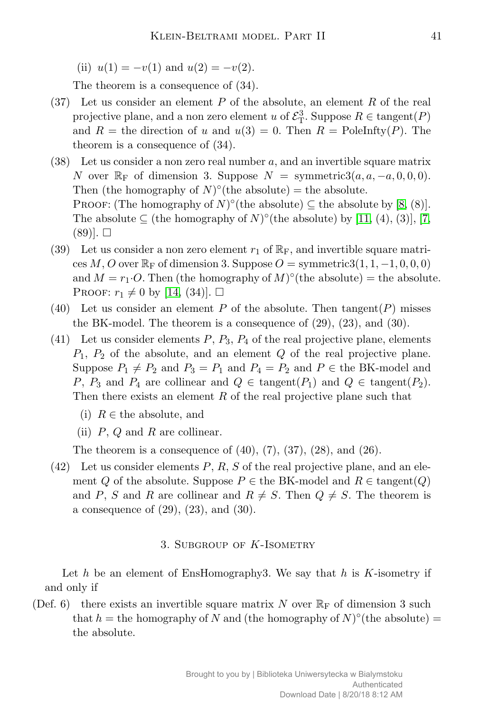(ii)  $u(1) = -v(1)$  and  $u(2) = -v(2)$ .

The theorem is a consequence of (34).

- (37) Let us consider an element *P* of the absolute, an element *R* of the real projective plane, and a non zero element *u* of  $\mathcal{E}_{\mathrm{T}}^3$ . Suppose  $R \in \mathrm{tangent}(P)$ and  $R =$  the direction of *u* and  $u(3) = 0$ . Then  $R =$  PoleInfty(*P*). The theorem is a consequence of (34).
- (38) Let us consider a non zero real number *a*, and an invertible square matrix *N* over  $\mathbb{R}_F$  of dimension 3. Suppose  $N =$  symmetric3 $(a, a, -a, 0, 0, 0)$ . Then (the homography of  $N$ <sup>o</sup>(the absolute) = the absolute. PROOF: (The homography of  $N$ )<sup>°</sup> (the absolute)  $\subseteq$  the absolute by [\[8,](#page-15-7) (8)]. The absolute  $\subseteq$  (the homography of *N*)<sup> $\circ$ </sup>(the absolute) by [\[11,](#page-15-8) (4), (3)], [\[7,](#page-15-9)  $(89)$ .  $\Box$
- (39) Let us consider a non zero element  $r_1$  of  $\mathbb{R}_F$ , and invertible square matri- $\cos M$ , *O* over  $\mathbb{R}_F$  of dimension 3. Suppose  $O = \text{symmetric3}(1, 1, -1, 0, 0, 0)$ and  $M = r_1 \cdot O$ . Then (the homography of  $M$ )<sup>°</sup>(the absolute) = the absolute. PROOF:  $r_1 \neq 0$  by [\[14,](#page-15-10) (34)].  $\Box$
- (40) Let us consider an element  $P$  of the absolute. Then tangent $(P)$  misses the BK-model. The theorem is a consequence of (29), (23), and (30).
- (41) Let us consider elements  $P$ ,  $P_3$ ,  $P_4$  of the real projective plane, elements *P*1, *P*<sup>2</sup> of the absolute, and an element *Q* of the real projective plane. Suppose  $P_1 \neq P_2$  and  $P_3 = P_1$  and  $P_4 = P_2$  and  $P \in \text{the BK-model}$  and *P*, *P*<sub>3</sub> and *P*<sub>4</sub> are collinear and  $Q \in \text{tangent}(P_1)$  and  $Q \in \text{tangent}(P_2)$ . Then there exists an element *R* of the real projective plane such that
	- (i)  $R \in \mathbb{R}$  the absolute, and
	- (ii) *P*, *Q* and *R* are collinear.

The theorem is a consequence of  $(40)$ ,  $(7)$ ,  $(37)$ ,  $(28)$ , and  $(26)$ .

(42) Let us consider elements *P*, *R*, *S* of the real projective plane, and an element *Q* of the absolute. Suppose  $P \in$  the BK-model and  $R \in$  tangent(*Q*) and P, S and R are collinear and  $R \neq S$ . Then  $Q \neq S$ . The theorem is a consequence of (29), (23), and (30).

## 3. Subgroup of *K*-Isometry

Let *h* be an element of EnsHomography3. We say that *h* is *K*-isometry if and only if

(Def. 6) there exists an invertible square matrix *N* over  $\mathbb{R}_{\text{F}}$  of dimension 3 such that  $h =$  the homography of *N* and (the homography of  $N$ )<sup> $\circ$ </sup>(the absolute) = the absolute.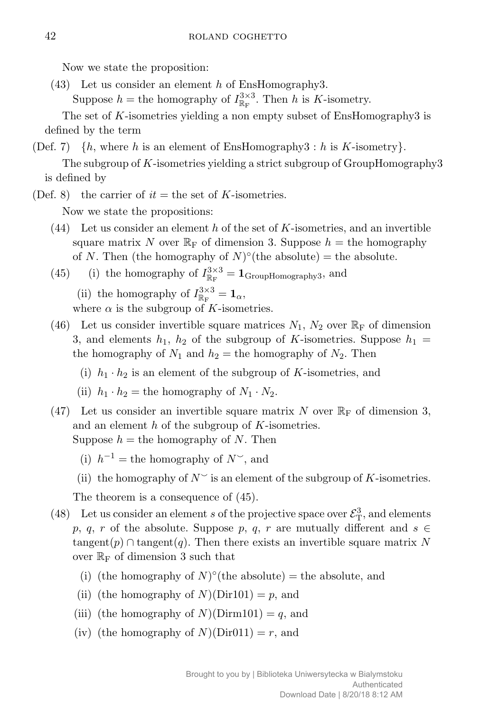Now we state the proposition:

(43) Let us consider an element *h* of EnsHomography3.

Suppose  $h =$  the homography of  $I_{\mathbb{R}_{\mathrm{F}}}^{3 \times 3}$ . Then *h* is *K*-isometry.

The set of *K*-isometries yielding a non empty subset of EnsHomography3 is defined by the term

- (Def. 7)  $\{h, \text{ where } h \text{ is an element of EnsHomography3 : } h \text{ is } K\text{-isometry}\}.$ The subgroup of *K*-isometries yielding a strict subgroup of GroupHomography3 is defined by
- (Def. 8) the carrier of  $it =$  the set of  $K$ -isometries.

Now we state the propositions:

- (44) Let us consider an element *h* of the set of *K*-isometries, and an invertible square matrix N over  $\mathbb{R}_{\text{F}}$  of dimension 3. Suppose  $h =$  the homography of *N*. Then (the homography of  $N$ )<sup> $\circ$ </sup>(the absolute) = the absolute.
- (45) (i) the homography of  $I_{\mathbb{R}_{\mathrm{F}}}^{3\times3} = \mathbf{1}_{\text{GroupHomography3}}$ , and

(ii) the homography of  $I_{\mathbb{R}_{\mathrm{F}}}^{3\times3} = \mathbf{1}_{\alpha}$ , where  $\alpha$  is the subgroup of *K*-isometries.

- (46) Let us consider invertible square matrices  $N_1$ ,  $N_2$  over  $\mathbb{R}_F$  of dimension 3, and elements  $h_1$ ,  $h_2$  of the subgroup of *K*-isometries. Suppose  $h_1$  = the homography of  $N_1$  and  $h_2$  = the homography of  $N_2$ . Then
	- (i)  $h_1 \cdot h_2$  is an element of the subgroup of *K*-isometries, and
	- (ii)  $h_1 \cdot h_2 =$  the homography of  $N_1 \cdot N_2$ .
- (47) Let us consider an invertible square matrix *N* over  $\mathbb{R}_F$  of dimension 3, and an element *h* of the subgroup of *K*-isometries. Suppose  $h =$  the homography of N. Then
	- (i)  $h^{-1}$  = the homography of *N*<sup> $\sim$ </sup>, and
	- (ii) the homography of  $N^{\sim}$  is an element of the subgroup of *K*-isometries.

The theorem is a consequence of (45).

- (48) Let us consider an element *s* of the projective space over  $\mathcal{E}_{\mathrm{T}}^3$ , and elements *p*, *q*, *r* of the absolute. Suppose *p*, *q*, *r* are mutually different and *s*  $\in$  $tangent(p) \cap tangent(q)$ . Then there exists an invertible square matrix N over  $\mathbb{R}_{\mathrm{F}}$  of dimension 3 such that
	- (i) (the homography of  $N$ <sup>o</sup>(the absolute) = the absolute, and
	- (ii) (the homography of  $N$ )( $Dir101$ ) = p, and
	- (iii) (the homography of  $N$ )(Dirm101) =  $q$ , and
	- (iv) (the homography of  $N$ )(Dir011) = *r*, and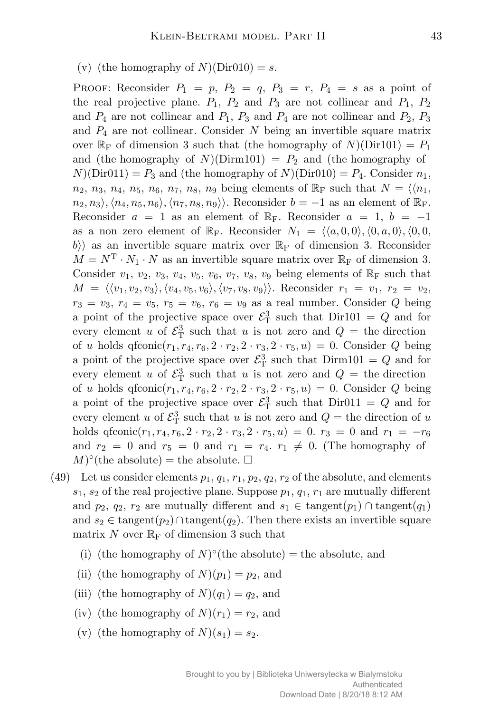(v) (the homography of  $N$ )(Dir010) = *s*.

PROOF: Reconsider  $P_1 = p$ ,  $P_2 = q$ ,  $P_3 = r$ ,  $P_4 = s$  as a point of the real projective plane.  $P_1$ ,  $P_2$  and  $P_3$  are not collinear and  $P_1$ ,  $P_2$ and  $P_4$  are not collinear and  $P_1$ ,  $P_3$  and  $P_4$  are not collinear and  $P_2$ ,  $P_3$ and *P*<sup>4</sup> are not collinear. Consider *N* being an invertible square matrix over  $\mathbb{R}_{\text{F}}$  of dimension 3 such that (the homography of *N*)(Dir101) = *P*<sub>1</sub> and (the homography of  $N$ )(Dirm101) =  $P_2$  and (the homography of  $N$ (Dir011) =  $P_3$  and (the homography of  $N$ )(Dir010) =  $P_4$ . Consider  $n_1$ ,  $n_2$ ,  $n_3$ ,  $n_4$ ,  $n_5$ ,  $n_6$ ,  $n_7$ ,  $n_8$ ,  $n_9$  being elements of  $\mathbb{R}_F$  such that  $N = \langle n_1, n_2, n_3, n_4, n_5, n_6, n_7, n_8, n_9 \rangle$  $n_2, n_3$ ,  $\langle n_4, n_5, n_6 \rangle$ ,  $\langle n_7, n_8, n_9 \rangle$ . Reconsider *b* = −1 as an element of  $\mathbb{R}_F$ . Reconsider  $a = 1$  as an element of  $\mathbb{R}_F$ . Reconsider  $a = 1$ ,  $b = -1$ as a non zero element of  $\mathbb{R}_F$ . Reconsider  $N_1 = \langle \langle a, 0, 0 \rangle, \langle 0, a, 0 \rangle, \langle 0, 0, 0 \rangle$  $|b\rangle$  as an invertible square matrix over  $\mathbb{R}_{\text{F}}$  of dimension 3. Reconsider  $M = N^{\mathrm{T}} \cdot N_1 \cdot N$  as an invertible square matrix over  $\mathbb{R}_{\mathrm{F}}$  of dimension 3. Consider  $v_1$ ,  $v_2$ ,  $v_3$ ,  $v_4$ ,  $v_5$ ,  $v_6$ ,  $v_7$ ,  $v_8$ ,  $v_9$  being elements of  $\mathbb{R}_F$  such that  $M = \langle \langle v_1, v_2, v_3 \rangle, \langle v_4, v_5, v_6 \rangle, \langle v_7, v_8, v_9 \rangle \rangle$ . Reconsider  $r_1 = v_1, r_2 = v_2$ ,  $r_3 = v_3, r_4 = v_5, r_5 = v_6, r_6 = v_9$  as a real number. Consider *Q* being a point of the projective space over  $\mathcal{E}_{\rm T}^3$  such that  $Dir101 = Q$  and for every element *u* of  $\mathcal{E}_{\rm T}^3$  such that *u* is not zero and  $Q =$  the direction of *u* holds  $q$ fconic $(r_1, r_4, r_6, 2 \cdot r_2, 2 \cdot r_3, 2 \cdot r_5, u) = 0$ . Consider *Q* being a point of the projective space over  $\mathcal{E}_{\mathrm{T}}^3$  such that  $\text{Dim}101 = Q$  and for every element *u* of  $\mathcal{E}_{\mathrm{T}}^3$  such that *u* is not zero and  $Q =$  the direction of *u* holds  $q$ fconic $(r_1, r_4, r_6, 2 \cdot r_2, 2 \cdot r_3, 2 \cdot r_5, u) = 0$ . Consider *Q* being a point of the projective space over  $\mathcal{E}_{\rm T}^3$  such that  $\text{Dir}011 = Q$  and for every element *u* of  $\mathcal{E}_{\rm T}^3$  such that *u* is not zero and  $Q =$  the direction of *u* holds  $q$ fconic $(r_1, r_4, r_6, 2 \cdot r_2, 2 \cdot r_3, 2 \cdot r_5, u) = 0$ .  $r_3 = 0$  and  $r_1 = -r_6$ and  $r_2 = 0$  and  $r_5 = 0$  and  $r_1 = r_4$ .  $r_1 \neq 0$ . (The homography of  $(M)^\circ$ (the absolute) = the absolute.  $\square$ 

- (49) Let us consider elements  $p_1, q_1, r_1, p_2, q_2, r_2$  of the absolute, and elements  $s_1$ ,  $s_2$  of the real projective plane. Suppose  $p_1$ ,  $q_1$ ,  $r_1$  are mutually different and  $p_2$ ,  $q_2$ ,  $r_2$  are mutually different and  $s_1 \in \text{tangent}(p_1) \cap \text{tangent}(q_1)$ and  $s_2 \in \text{tangent}(p_2) \cap \text{tangent}(q_2)$ . Then there exists an invertible square matrix N over  $\mathbb{R}_{\mathrm{F}}$  of dimension 3 such that
	- (i) (the homography of  $N$ <sup>o</sup>(the absolute) = the absolute, and
	- (ii) (the homography of  $N(p_1) = p_2$ , and
	- (iii) (the homography of  $N(q_1) = q_2$ , and
	- (iv) (the homography of  $N(r_1) = r_2$ , and
	- (v) (the homography of  $N(x_1) = s_2$ .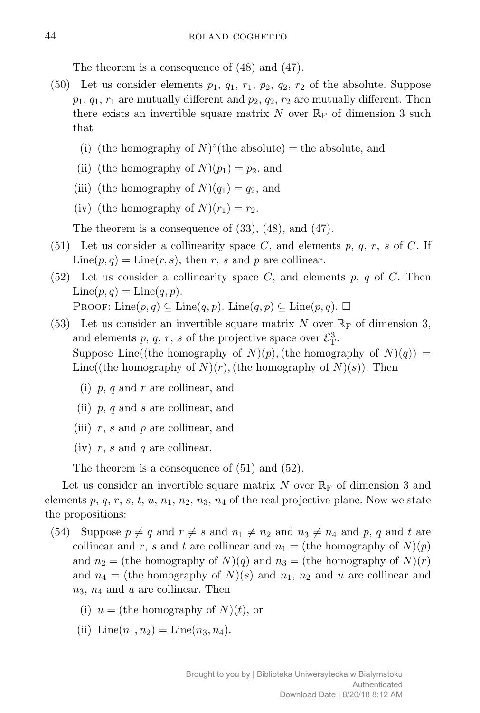The theorem is a consequence of (48) and (47).

- (50) Let us consider elements  $p_1$ ,  $q_1$ ,  $r_1$ ,  $p_2$ ,  $q_2$ ,  $r_2$  of the absolute. Suppose  $p_1, q_1, r_1$  are mutually different and  $p_2, q_2, r_2$  are mutually different. Then there exists an invertible square matrix N over  $\mathbb{R}_{\text{F}}$  of dimension 3 such that
	- (i) (the homography of  $N$ <sup>o</sup>(the absolute) = the absolute, and
	- (ii) (the homography of  $N(p_1) = p_2$ , and
	- (iii) (the homography of  $N(q_1) = q_2$ , and
	- (iv) (the homography of  $N(r_1) = r_2$ .

The theorem is a consequence of (33), (48), and (47).

- (51) Let us consider a collinearity space *C*, and elements *p*, *q*, *r*, *s* of *C*. If  $Line(p, q) = Line(r, s)$ , then *r*, *s* and *p* are collinear.
- (52) Let us consider a collinearity space *C*, and elements *p*, *q* of *C*. Then  $\text{Line}(p, q) = \text{Line}(q, p).$ PROOF: Line $(p, q) \subseteq$  Line $(q, p)$ . Line $(q, p) \subseteq$  Line $(p, q)$ .  $\Box$
- (53) Let us consider an invertible square matrix *N* over  $\mathbb{R}_{\text{F}}$  of dimension 3, and elements *p*, *q*, *r*, *s* of the projective space over  $\mathcal{E}_{T}^{3}$ . Suppose Line((the homography of *N*)(*p*), (the homography of *N*)(*q*)) = Line((the homography of  $N(r)$ , (the homography of  $N(s)$ ). Then
	- (i) *p*, *q* and *r* are collinear, and
	- (ii) *p*, *q* and *s* are collinear, and
	- (iii) *r*, *s* and *p* are collinear, and
	- (iv) *r*, *s* and *q* are collinear.

The theorem is a consequence of (51) and (52).

Let us consider an invertible square matrix *N* over  $\mathbb{R}_{\text{F}}$  of dimension 3 and elements *p*, *q*, *r*, *s*, *t*, *u*, *n*1, *n*2, *n*3, *n*<sup>4</sup> of the real projective plane. Now we state the propositions:

- (54) Suppose  $p \neq q$  and  $r \neq s$  and  $n_1 \neq n_2$  and  $n_3 \neq n_4$  and  $p, q$  and  $t$  are collinear and *r*, *s* and *t* are collinear and  $n_1 =$  (the homography of  $N(p)$ ) and  $n_2 =$  (the homography of *N*)(*q*) and  $n_3 =$  (the homography of *N*)(*r*) and  $n_4$  = (the homography of *N*)(*s*) and  $n_1$ ,  $n_2$  and *u* are collinear and *n*3, *n*<sup>4</sup> and *u* are collinear. Then
	- (i)  $u =$  (the homography of  $N(t)$ , or
	- (ii)  $\text{Line}(n_1, n_2) = \text{Line}(n_3, n_4).$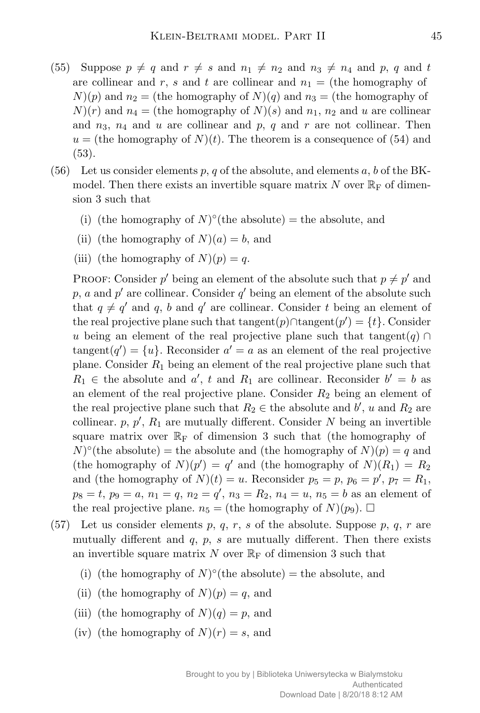- (55) Suppose  $p \neq q$  and  $r \neq s$  and  $n_1 \neq n_2$  and  $n_3 \neq n_4$  and p, q and t are collinear and  $r$ ,  $s$  and  $t$  are collinear and  $n_1 =$  (the homography of  $N(p)$  and  $n_2 =$  (the homography of  $N(q)$  and  $n_3 =$  (the homography of  $N(r)$  and  $n_4 =$  (the homography of  $N(s)$ ) and  $n_1$ ,  $n_2$  and  $u$  are collinear and *n*3, *n*<sup>4</sup> and *u* are collinear and *p*, *q* and *r* are not collinear. Then  $u =$  (the homography of  $N(t)$ ). The theorem is a consequence of (54) and (53).
- $(56)$  Let us consider elements p, q of the absolute, and elements a, b of the BKmodel. Then there exists an invertible square matrix  $N$  over  $\mathbb{R}_{\text{F}}$  of dimension 3 such that
	- (i) (the homography of  $N$ <sup>o</sup>(the absolute) = the absolute, and
	- (ii) (the homography of  $N(a) = b$ , and
	- (iii) (the homography of  $N(p) = q$ .

PROOF: Consider  $p'$  being an element of the absolute such that  $p \neq p'$  and  $p, a$  and  $p'$  are collinear. Consider  $q'$  being an element of the absolute such that  $q \neq q'$  and  $q$ , *b* and  $q'$  are collinear. Consider *t* being an element of the real projective plane such that tangent $(p)$ ∩tangent $(p') = \{t\}$ . Consider *u* being an element of the real projective plane such that tangent $(q) \cap$  $tangent(q') = \{u\}$ . Reconsider  $a' = a$  as an element of the real projective plane. Consider *R*<sup>1</sup> being an element of the real projective plane such that  $R_1 \in$  the absolute and *a*<sup> $\prime$ </sup>, *t* and  $R_1$  are collinear. Reconsider  $b' = b$  as an element of the real projective plane. Consider *R*<sup>2</sup> being an element of the real projective plane such that  $R_2 \in$  the absolute and  $b'$ ,  $u$  and  $R_2$  are collinear.  $p, p', R_1$  are mutually different. Consider  $N$  being an invertible square matrix over  $\mathbb{R}_{F}$  of dimension 3 such that (the homography of  $(N)^\circ$  (the absolute) = the absolute and (the homography of  $N$ ) $(p) = q$  and (the homography of  $N(p') = q'$  and (the homography of  $N(R_1) = R_2$ ) and (the homography of  $N(t) = u$ . Reconsider  $p_5 = p$ ,  $p_6 = p'$ ,  $p_7 = R_1$ ,  $p_8 = t$ ,  $p_9 = a$ ,  $n_1 = q$ ,  $n_2 = q'$ ,  $n_3 = R_2$ ,  $n_4 = u$ ,  $n_5 = b$  as an element of the real projective plane.  $n_5 =$  (the homography of *N*)(*p*<sub>9</sub>).  $\Box$ 

- (57) Let us consider elements *p*, *q*, *r*, *s* of the absolute. Suppose *p*, *q*, *r* are mutually different and *q*, *p*, *s* are mutually different. Then there exists an invertible square matrix N over  $\mathbb{R}_{\mathrm{F}}$  of dimension 3 such that
	- (i) (the homography of  $N$ <sup>o</sup>(the absolute) = the absolute, and
	- (ii) (the homography of  $N(p) = q$ , and
	- (iii) (the homography of  $N(q) = p$ , and
	- (iv) (the homography of  $N(r) = s$ , and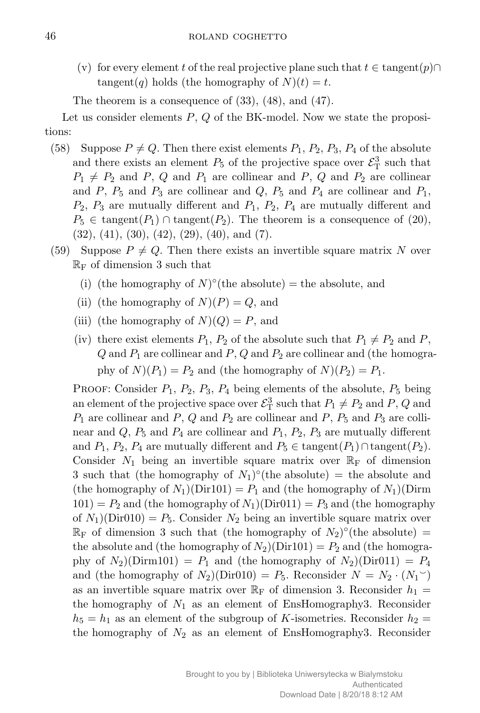(v) for every element *t* of the real projective plane such that  $t \in \text{tangent}(p) \cap$  $tangent(q)$  holds (the homography of  $N(t) = t$ .

The theorem is a consequence of (33), (48), and (47).

Let us consider elements *P*, *Q* of the BK-model. Now we state the propositions:

- (58) Suppose  $P \neq Q$ . Then there exist elements  $P_1$ ,  $P_2$ ,  $P_3$ ,  $P_4$  of the absolute and there exists an element  $P_5$  of the projective space over  $\mathcal{E}_{\rm T}^3$  such that  $P_1 \neq P_2$  and *P*, *Q* and *P*<sub>1</sub> are collinear and *P*, *Q* and *P*<sub>2</sub> are collinear and  $P$ ,  $P_5$  and  $P_3$  are collinear and  $Q$ ,  $P_5$  and  $P_4$  are collinear and  $P_1$ , *P*2, *P*<sup>3</sup> are mutually different and *P*1, *P*2, *P*<sup>4</sup> are mutually different and  $P_5 \in \text{tangent}(P_1) \cap \text{tangent}(P_2)$ . The theorem is a consequence of (20),  $(32), (41), (30), (42), (29), (40), \text{ and } (7).$
- (59) Suppose  $P \neq Q$ . Then there exists an invertible square matrix N over  $\mathbb{R}_{\mathrm{F}}$  of dimension 3 such that
	- (i) (the homography of  $N$ <sup>o</sup>(the absolute) = the absolute, and
	- (ii) (the homography of  $N(P) = Q$ , and
	- (iii) (the homography of  $N(Q) = P$ , and
	- (iv) there exist elements  $P_1$ ,  $P_2$  of the absolute such that  $P_1 \neq P_2$  and  $P$ ,  $Q$  and  $P_1$  are collinear and  $P$ ,  $Q$  and  $P_2$  are collinear and (the homography of  $N(P_1) = P_2$  and (the homography of  $N(P_2) = P_1$ .

Proof: Consider *P*1, *P*2, *P*3, *P*<sup>4</sup> being elements of the absolute, *P*<sup>5</sup> being an element of the projective space over  $\mathcal{E}_{\mathrm{T}}^3$  such that  $P_1 \neq P_2$  and  $P$ ,  $Q$  and  $P_1$  are collinear and  $P$ ,  $Q$  and  $P_2$  are collinear and  $P$ ,  $P_5$  and  $P_3$  are collinear and  $Q$ ,  $P_5$  and  $P_4$  are collinear and  $P_1$ ,  $P_2$ ,  $P_3$  are mutually different and  $P_1$ ,  $P_2$ ,  $P_4$  are mutually different and  $P_5 \in \text{tangent}(P_1) \cap \text{tangent}(P_2)$ . Consider  $N_1$  being an invertible square matrix over  $\mathbb{R}_F$  of dimension 3 such that (the homography of  $N_1$ <sup>o</sup>(the absolute) = the absolute and (the homography of  $N_1$ )(Dir101) =  $P_1$  and (the homography of  $N_1$ )(Dirm  $101$ ) =  $P_2$  and (the homography of  $N_1$ )(Dir011) =  $P_3$  and (the homography of  $N_1$ )(Dir010) =  $P_5$ . Consider  $N_2$  being an invertible square matrix over  $\mathbb{R}_{\text{F}}$  of dimension 3 such that (the homography of  $N_2$ )°(the absolute) = the absolute and (the homography of  $N_2$ )(Dir101) =  $P_2$  and (the homography of  $N_2$ )(Dirm101) =  $P_1$  and (the homography of  $N_2$ )(Dir011) =  $P_4$ and (the homography of  $N_2$ )(Dir010) =  $P_5$ . Reconsider  $N = N_2 \cdot (N_1^{\circ})$ as an invertible square matrix over  $\mathbb{R}_{\text{F}}$  of dimension 3. Reconsider  $h_1 =$ the homography of *N*<sup>1</sup> as an element of EnsHomography3. Reconsider  $h_5 = h_1$  as an element of the subgroup of *K*-isometries. Reconsider  $h_2 =$ the homography of  $N_2$  as an element of EnsHomography3. Reconsider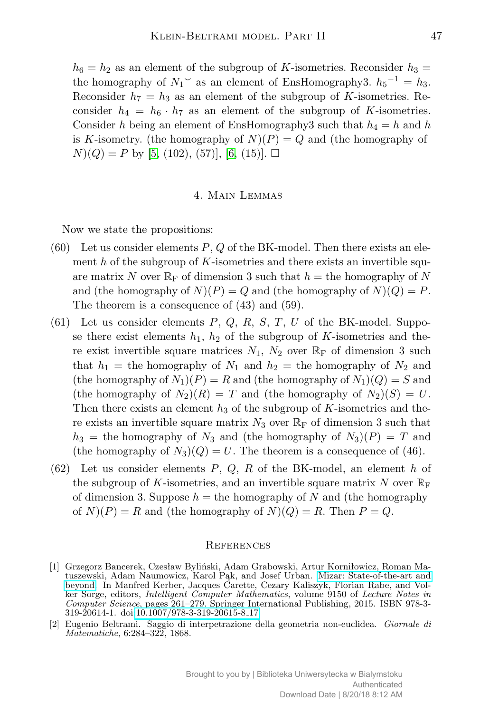$h_6 = h_2$  as an element of the subgroup of *K*-isometries. Reconsider  $h_3 =$ the homography of  $N_1$ <sup>o</sup> as an element of EnsHomography3.  $h_5^{-1} = h_3$ . Reconsider  $h_7 = h_3$  as an element of the subgroup of *K*-isometries. Reconsider  $h_4 = h_6 \cdot h_7$  as an element of the subgroup of *K*-isometries. Consider *h* being an element of EnsHomography3 such that  $h_4 = h$  and *h* is *K*-isometry. (the homography of  $N(P) = Q$  and (the homography of  $N(Q) = P$  by [\[5,](#page-15-11) (102), (57)], [\[6,](#page-15-12) (15)].  $\Box$ 

## 4. Main Lemmas

Now we state the propositions:

- (60) Let us consider elements *P*, *Q* of the BK-model. Then there exists an element *h* of the subgroup of *K*-isometries and there exists an invertible square matrix N over  $\mathbb{R}_{\mathbb{F}}$  of dimension 3 such that  $h =$  the homography of N and (the homography of  $N(P) = Q$  and (the homography of  $N(Q) = P$ . The theorem is a consequence of (43) and (59).
- (61) Let us consider elements *P*, *Q*, *R*, *S*, *T*, *U* of the BK-model. Suppose there exist elements  $h_1$ ,  $h_2$  of the subgroup of  $K$ -isometries and there exist invertible square matrices  $N_1$ ,  $N_2$  over  $\mathbb{R}_F$  of dimension 3 such that  $h_1$  = the homography of  $N_1$  and  $h_2$  = the homography of  $N_2$  and (the homography of  $N_1$ )( $P$ ) =  $R$  and (the homography of  $N_1$ )( $Q$ ) =  $S$  and (the homography of  $N_2(R) = T$  and (the homography of  $N_2(S) = U$ . Then there exists an element  $h_3$  of the subgroup of  $K$ -isometries and there exists an invertible square matrix  $N_3$  over  $\mathbb{R}_F$  of dimension 3 such that  $h_3$  = the homography of  $N_3$  and (the homography of  $N_3$ )(*P*) = *T* and (the homography of  $N_3$ )( $Q$ ) = *U*. The theorem is a consequence of (46).
- (62) Let us consider elements *P*, *Q*, *R* of the BK-model, an element *h* of the subgroup of K-isometries, and an invertible square matrix  $N$  over  $\mathbb{R}_{\text{F}}$ of dimension 3. Suppose  $h =$  the homography of N and (the homography of  $N(P) = R$  and (the homography of  $N(Q) = R$ . Then  $P = Q$ .

## **REFERENCES**

<span id="page-14-0"></span>[2] Eugenio Beltrami. Saggio di interpetrazione della geometria non-euclidea. *Giornale di Matematiche*, 6:284–322, 1868.

<span id="page-14-1"></span><sup>[1]</sup> Grzegorz Bancerek, Czesław Byliński, Adam Grabowski, Artur Korniłowicz, Roman Matuszewski, Adam Naumowicz, Karol Pąk, and Josef Urban. [Mizar: State-of-the-art and](http://dx.doi.org/10.1007/978-3-319-20615-8_17) [beyond.](http://dx.doi.org/10.1007/978-3-319-20615-8_17) In Manfred Kerber, Jacques Carette, Cezary Kaliszyk, Florian Rabe, and Volker Sorge, editors, *Intelligent Computer Mathematics*, volume 9150 of *Lecture Notes in Computer Science*, pages 261–279. Springer International Publishing, 2015. ISBN 978-3- 319-20614-1. doi[:10.1007/978-3-319-20615-8](http://dx.doi.org/10.1007/978-3-319-20615-8_17) 17.